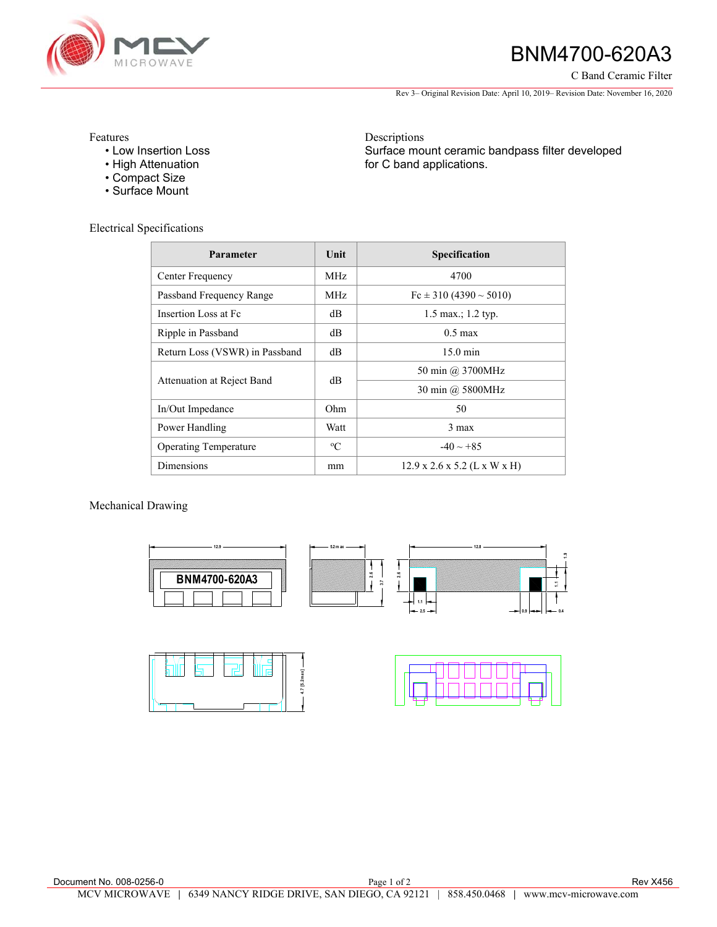

# BNM4700-620A3

C Band Ceramic Filter

Rev 3– Original Revision Date: April 10, 2019– Revision Date: November 16, 2020

Features

- Low Insertion Loss
- High Attenuation
- Compact Size
- Surface Mount

Electrical Specifications

Descriptions Surface mount ceramic bandpass filter developed for C band applications.

| <b>Parameter</b>               | Unit        | Specification                            |
|--------------------------------|-------------|------------------------------------------|
| Center Frequency               | MHz         | 4700                                     |
| Passband Frequency Range       | MHz         | $Fc \pm 310 (4390 \sim 5010)$            |
| Insertion Loss at Fc           | $\text{dB}$ | 1.5 max.; 1.2 typ.                       |
| Ripple in Passband             | $\text{dB}$ | $0.5 \text{ max}$                        |
| Return Loss (VSWR) in Passband | $\text{dB}$ | $15.0 \text{ min}$                       |
| Attenuation at Reject Band     | $\text{dB}$ | 50 min @ 3700MHz                         |
|                                |             | 30 min @ 5800MHz                         |
| In/Out Impedance               | Ohm         | 50                                       |
| Power Handling                 | Watt        | $3 \text{ max}$                          |
| <b>Operating Temperature</b>   | $\rm ^{o}C$ | $-40 \sim +85$                           |
| Dimensions                     | mm          | $12.9 \times 2.6 \times 5.2$ (L x W x H) |

### Mechanical Drawing